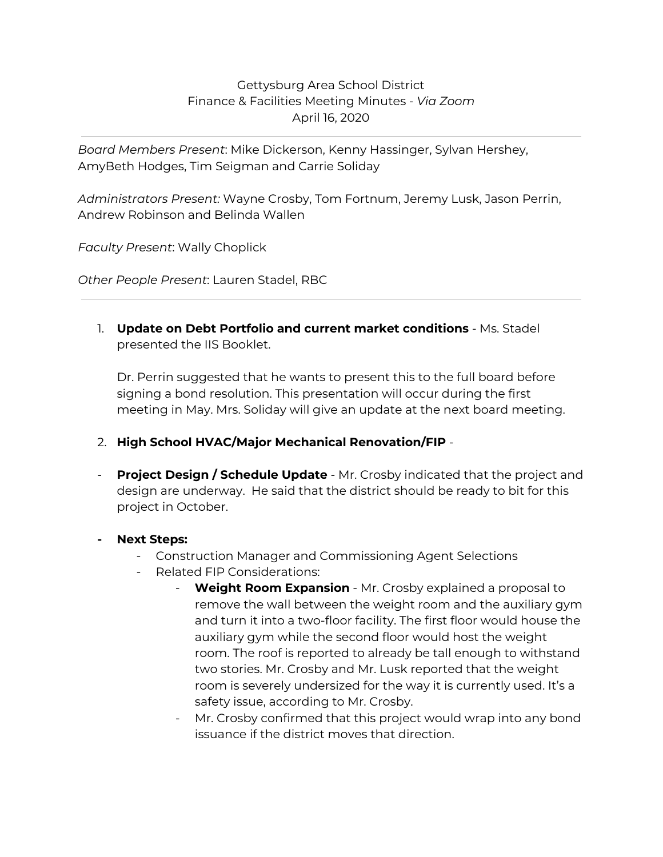## Gettysburg Area School District Finance & Facilities Meeting Minutes - *Via Zoom* April 16, 2020

*Board Members Present*: Mike Dickerson, Kenny Hassinger, Sylvan Hershey, AmyBeth Hodges, Tim Seigman and Carrie Soliday

*Administrators Present:* Wayne Crosby, Tom Fortnum, Jeremy Lusk, Jason Perrin, Andrew Robinson and Belinda Wallen

*Faculty Present*: Wally Choplick

*Other People Present*: Lauren Stadel, RBC

1. **Update on Debt Portfolio and current market conditions** - Ms. Stadel presented the IIS Booklet.

Dr. Perrin suggested that he wants to present this to the full board before signing a bond resolution. This presentation will occur during the first meeting in May. Mrs. Soliday will give an update at the next board meeting.

- 2. **High School HVAC/Major Mechanical Renovation/FIP** -
- **Project Design / Schedule Update** Mr. Crosby indicated that the project and design are underway. He said that the district should be ready to bit for this project in October.
- **- Next Steps:**
	- Construction Manager and Commissioning Agent Selections
	- Related FIP Considerations:
		- **Weight Room Expansion** Mr. Crosby explained a proposal to remove the wall between the weight room and the auxiliary gym and turn it into a two-floor facility. The first floor would house the auxiliary gym while the second floor would host the weight room. The roof is reported to already be tall enough to withstand two stories. Mr. Crosby and Mr. Lusk reported that the weight room is severely undersized for the way it is currently used. It's a safety issue, according to Mr. Crosby.
		- Mr. Crosby confirmed that this project would wrap into any bond issuance if the district moves that direction.